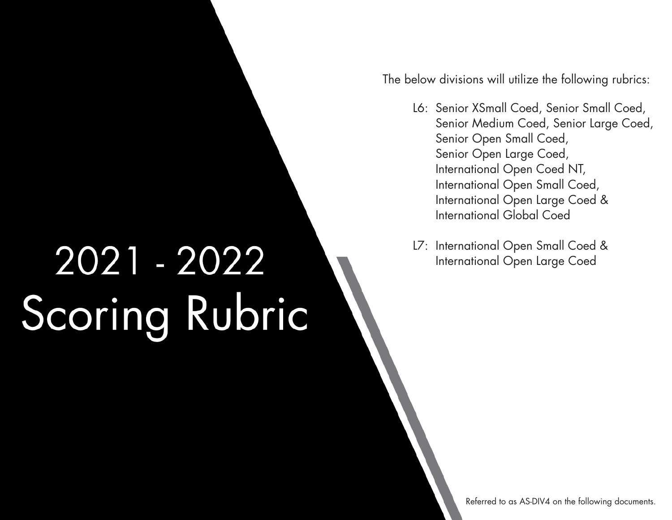2021 - 2022 Scoring Rubric The below divisions will utilize the following rubrics:

- L6: Senior XSmall Coed, Senior Small Coed, Senior Medium Coed, Senior Large Coed, Senior Open Small Coed, Senior Open Large Coed, International Open Coed NT, International Open Small Coed, International Open Large Coed & International Global Coed
- L7: International Open Small Coed & International Open Large Coed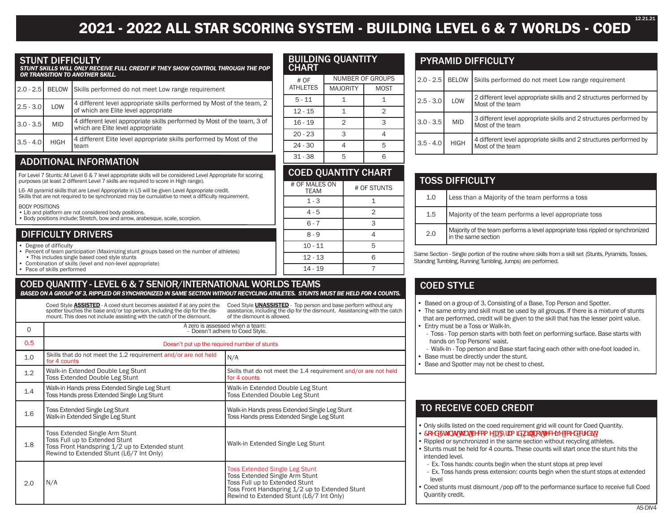# **2021 - 2022 ALL STAR SCORING SYSTEM - BUILDING LEVEL 6 & 7 WORLDS - COED**

#### STUNT DIFFICULTY

*STUNT SKILLS WILL ONLY RECEIVE FULL CREDIT IF THEY SHOW CONTROL THROUGH THE POP OR TRANSITION TO ANOTHER SKILL.*

|             |             | 2.0 - 2.5   BELOW Skills performed do not meet Low range requirement                                          |
|-------------|-------------|---------------------------------------------------------------------------------------------------------------|
| $2.5 - 3.0$ | LOW         | 4 different level appropriate skills performed by Most of the team, 2<br>of which are Elite level appropriate |
| $3.0 - 3.5$ | <b>MID</b>  | 4 different level appropriate skills performed by Most of the team, 3 of<br>which are Elite level appropriate |
| $3.5 - 4.0$ | <b>HIGH</b> | 4 different Elite level appropriate skills performed by Most of the<br>team                                   |

### **ADDITIONAL INFORMATION**

For Level 7 Stunts: All Level 6 & 7 level appropriate skills will be considered Level Appropriate for scoring purposes (at least 2 different Level 7 skills are required to score in High range).

L6- All pyramid skills that are Level Appropriate in L5 will be given Level Appropriate credit.

Skills that are not required to be synchronized may be cumulative to meet a difficulty requirement.

BODY POSITIONS  $\epsilon$  and not considered body positions.

| Consider the considered body positions.                                       |  |
|-------------------------------------------------------------------------------|--|
| • Body positions include: Stretch, bow and arrow, arabesque, scale, scorpion. |  |

### DIFFICULTY DRIVERS

• Degree of difficulty

• Percent of team participation (Maximizing stunt groups based on the number of athletes)

- This includes single based coed style stunts • Combination of skills (level and non-level appropriate)
- Pace of skills performed

## COED QUANTITY - LEVEL 6 & 7 SENIOR/INTERNATIONAL WORLDS TEAMS

*BASED ON A GROUP OF 3, RIPPLED OR SYNCHRONIZED IN SAME SECTION WITHOUT RECYCLING ATHLETES. STUNTS MUST BE HELD FOR 4 COUNTS.*

Coed Style **ASSISTED** - A coed stunt becomes assisted if at any point the spotter touches the base and/or top person, including the dip for the dismount. This does not include assisting with the catch of the dismount.

Coed Style **UNASSISTED** - Top person and base perform without any assistance, including the dip for the dismount. Assistancing with the catch of the dismount is allowed.

| $\Omega$ | A zero is assessed when a team:<br>- Doesn't adhere to Coed Style.                                                                                             |                                                                                                                                                                                                         |  |  |
|----------|----------------------------------------------------------------------------------------------------------------------------------------------------------------|---------------------------------------------------------------------------------------------------------------------------------------------------------------------------------------------------------|--|--|
| 0.5      | Doesn't put up the required number of stunts                                                                                                                   |                                                                                                                                                                                                         |  |  |
| 1.0      | Skills that do not meet the 1.2 requirement and/or are not held<br>for 4 counts                                                                                | N/A                                                                                                                                                                                                     |  |  |
| 1.2      | Walk-in Extended Double Leg Stunt<br><b>Toss Extended Double Leg Stunt</b>                                                                                     | Skills that do not meet the 1.4 requirement and/or are not held<br>for 4 counts                                                                                                                         |  |  |
| 1.4      | Walk-in Hands press Extended Single Leg Stunt<br>Toss Hands press Extended Single Leg Stunt                                                                    | Walk-in Extended Double Leg Stunt<br><b>Toss Extended Double Leg Stunt</b>                                                                                                                              |  |  |
| 1.6      | <b>Toss Extended Single Leg Stunt</b><br>Walk-in Extended Single Leg Stunt                                                                                     | Walk-in Hands press Extended Single Leg Stunt<br>Toss Hands press Extended Single Leg Stunt                                                                                                             |  |  |
| 1.8      | Toss Extended Single Arm Stunt<br>Toss Full up to Extended Stunt<br>Toss Front Handspring 1/2 up to Extended stunt<br>Rewind to Extended Stunt (L6/7 Int Only) | Walk-in Extended Single Leg Stunt                                                                                                                                                                       |  |  |
| 2.0      | N/A                                                                                                                                                            | <b>Toss Extended Single Leg Stunt</b><br>Toss Extended Single Arm Stunt<br>Toss Full up to Extended Stunt<br>Toss Front Handspring 1/2 up to Extended Stunt<br>Rewind to Extended Stunt (L6/7 Int Only) |  |  |

### BUILDING QUANTITY CHART

| # OF            | NUMBER OF GROUPS |      |  |  |  |
|-----------------|------------------|------|--|--|--|
| <b>ATHLETES</b> | <b>MAJORITY</b>  | MOST |  |  |  |
| $5 - 11$        |                  |      |  |  |  |
| $12 - 15$       |                  | 2    |  |  |  |
| $16 - 19$       | $\overline{2}$   | З    |  |  |  |
| $20 - 23$       | 3                |      |  |  |  |
| $24 - 30$       |                  | ᄃ    |  |  |  |
| $31 - 38$       | г,               |      |  |  |  |

### COED QUANTITY CHART # OF MALES ON # OF STUNTS  $1 - 3$  1  $4 - 5$  | 2  $6 - 7$   $3$  $8 - 9$  4

10 - 11 5  $12 - 13$  6  $14 - 19$  7

### PYRAMID DIFFICULTY

|             |             | 2.0 - 2.5   BELOW   Skills performed do not meet Low range requirement                 |
|-------------|-------------|----------------------------------------------------------------------------------------|
| $2.5 - 3.0$ | LOW         | 2 different level appropriate skills and 2 structures performed by<br>Most of the team |
| $3.0 - 3.5$ | <b>MID</b>  | 3 different level appropriate skills and 2 structures performed by<br>Most of the team |
| $3.5 - 4.0$ | <b>HIGH</b> | 4 different level appropriate skills and 2 structures performed by<br>Most of the team |

| <b>TOSS DIFFICULTY</b> |                                                                                                       |  |  |  |
|------------------------|-------------------------------------------------------------------------------------------------------|--|--|--|
| 1.0                    | Less than a Majority of the team performs a toss                                                      |  |  |  |
| 1.5                    | Majority of the team performs a level appropriate toss                                                |  |  |  |
| 2.0                    | Majority of the team performs a level appropriate toss rippled or synchronized<br>in the same section |  |  |  |

Same Section - Single portion of the routine where skills from a skill set (Stunts, Pyramids, Tosses, Standing Tumbling, Running Tumbling, Jumps) are performed.

## COED STYLE

• Based on a group of 3, Consisting of a Base, Top Person and Spotter.

- The same entry and skill must be used by all groups. If there is a mixture of stunts that are performed, credit will be given to the skill that has the lesser point value. • Entry must be a Toss or Walk-In.
- Toss Top person starts with both feet on performing surface. Base starts with hands on Top Persons' waist.
- Walk-In Top person and Base start facing each other with one-foot loaded in.
- Base must be directly under the stunt.
- Base and Spotter may not be chest to chest.

## TO RECEIVE COED CREDIT

- Only skills listed on the coed requirement grid will count for Coed Quantity.
- 7cYXGh bhqthUhVYVdaYUdnflUa DXkthbchfYWTjYVdYXVfYXTh
- Rippled or synchronized in the same section without recycling athletes.
- Stunts must be held for 4 counts. These counts will start once the stunt hits the intended level.
- Ex. Toss hands: counts begin when the stunt stops at prep level
- Ex. Toss hands press extension: counts begin when the stunt stops at extended level
- Coed stunts must dismount /pop off to the performance surface to receive full Coed Quantity credit.

12.21.21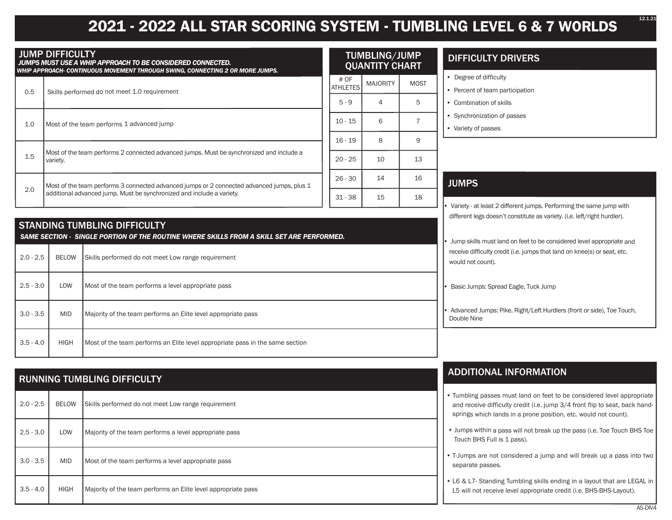# **2021 - 2022 ALL STAR SCORING SYSTEM - TUMBLING LEVEL 6 & 7 WORLDS**

| <b>JUMP DIFFICULTY</b><br>JUMPS MUST USE A WHIP APPROACH TO BE CONSIDERED CONNECTED.<br>WHIP APPROACH- CONTINUOUS MOVEMENT THROUGH SWING, CONNECTING 2 OR MORE JUMPS. |                                                                                                                                                                     |                                                                                                                                  | TUMBLING/JUMP<br><b>QUANTITY CHART</b> |                                                                                      |                                                           | <b>DIFFICULTY DRIVERS</b>                                                                                                                                                                                                                                                                           |
|-----------------------------------------------------------------------------------------------------------------------------------------------------------------------|---------------------------------------------------------------------------------------------------------------------------------------------------------------------|----------------------------------------------------------------------------------------------------------------------------------|----------------------------------------|--------------------------------------------------------------------------------------|-----------------------------------------------------------|-----------------------------------------------------------------------------------------------------------------------------------------------------------------------------------------------------------------------------------------------------------------------------------------------------|
| 0.5                                                                                                                                                                   |                                                                                                                                                                     | Skills performed do not meet 1.0 requirement                                                                                     | # OF<br><b>ATHLETES</b><br>$5 - 9$     | <b>MAJORITY</b><br>4                                                                 | <b>MOST</b><br>5                                          | • Degree of difficulty<br>• Percent of team participation<br>• Combination of skills                                                                                                                                                                                                                |
| 1.0                                                                                                                                                                   | Most of the team performs 1 advanced jump                                                                                                                           |                                                                                                                                  |                                        | 6                                                                                    | $\overline{7}$                                            | • Synchronization of passes<br>• Variety of passes                                                                                                                                                                                                                                                  |
| 1.5                                                                                                                                                                   | variety.                                                                                                                                                            | Most of the team performs 2 connected advanced jumps. Must be synchronized and include a                                         | $16 - 19$<br>$20 - 25$                 | 8<br>10                                                                              | 9<br>13                                                   |                                                                                                                                                                                                                                                                                                     |
| 2.0                                                                                                                                                                   | Most of the team performs 3 connected advanced jumps or 2 connected advanced jumps, plus 1<br>additional advanced jump. Must be synchronized and include a variety. |                                                                                                                                  |                                        | 14<br>15                                                                             | 16<br>18                                                  | <b>JUMPS</b>                                                                                                                                                                                                                                                                                        |
|                                                                                                                                                                       |                                                                                                                                                                     | <b>STANDING TUMBLING DIFFICULTY</b><br>SAME SECTION - SINGLE PORTION OF THE ROUTINE WHERE SKILLS FROM A SKILL SET ARE PERFORMED. |                                        |                                                                                      |                                                           | Variety - at least 2 different jumps. Performing the same jump with<br>different legs doesn't constitute as variety. (i.e. left/right hurdler).<br>Jump skills must land on feet to be considered level appropriate and<br>receive difficulty credit (i.e. jumps that land on knee(s) or seat, etc. |
| $2.0 - 2.5$<br>$2.5 - 3.0$                                                                                                                                            | Skills performed do not meet Low range requirement<br><b>BELOW</b><br>LOW<br>Most of the team performs a level appropriate pass                                     |                                                                                                                                  |                                        |                                                                                      | would not count).<br>Basic Jumps: Spread Eagle, Tuck Jump |                                                                                                                                                                                                                                                                                                     |
| $3.0 - 3.5$                                                                                                                                                           | <b>MID</b><br>Majority of the team performs an Elite level appropriate pass                                                                                         |                                                                                                                                  |                                        | Advanced Jumps: Pike, Right/Left Hurdlers (front or side), Toe Touch,<br>Double Nine |                                                           |                                                                                                                                                                                                                                                                                                     |
| $3.5 - 4.0$                                                                                                                                                           | <b>HIGH</b><br>Most of the team performs an Elite level appropriate pass in the same section                                                                        |                                                                                                                                  |                                        |                                                                                      |                                                           |                                                                                                                                                                                                                                                                                                     |
|                                                                                                                                                                       |                                                                                                                                                                     | <b>RUNNING TUMBLING DIFFICULTY</b>                                                                                               |                                        |                                                                                      |                                                           | <b>ADDITIONAL INFORMATION</b>                                                                                                                                                                                                                                                                       |

| $2.0 - 2.5$ | <b>BELOW</b> | Skills performed do not meet Low range requirement            |
|-------------|--------------|---------------------------------------------------------------|
| $2.5 - 3.0$ | LOW          | Majority of the team performs a level appropriate pass        |
| $3.0 - 3.5$ | <b>MID</b>   | Most of the team performs a level appropriate pass            |
| $3.5 - 4.0$ | <b>HIGH</b>  | Majority of the team performs an Elite level appropriate pass |

#### • Tumbling passes must land on feet to be considered level appropriate and receive difficulty credit (i.e. jump 3/4 front flip to seat, back handsprings which lands in a prone position, etc. would not count).

- Jumps within a pass will not break up the pass (i.e. Toe Touch BHS Toe Touch BHS Full is 1 pass).
- T-Jumps are not considered a jump and will break up a pass into two separate passes.
- L6 & L7- Standing Tumbling skills ending in a layout that are LEGAL in L5 will not receive level appropriate credit (i.e. BHS-BHS-Layout).

12.1.21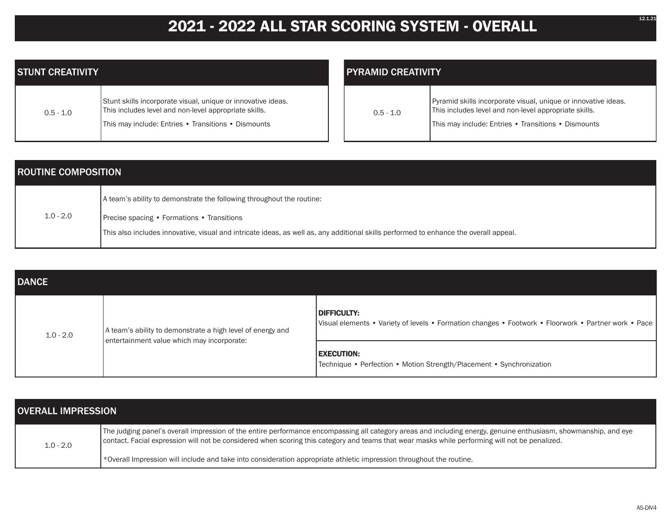# **2021 - 2022 ALL STAR SCORING SYSTEM - OVERALL**

| <b>STUNT CREATIVITY</b> |                                                                                                                                                                              |  | <b>PYRAMID CREATIVITY</b> |                                                                                                                                                                                |  |
|-------------------------|------------------------------------------------------------------------------------------------------------------------------------------------------------------------------|--|---------------------------|--------------------------------------------------------------------------------------------------------------------------------------------------------------------------------|--|
| $0.5 - 1.0$             | Stunt skills incorporate visual, unique or innovative ideas.<br>This includes level and non-level appropriate skills.<br>This may include: Entries • Transitions • Dismounts |  | $0.5 - 1.0$               | Pyramid skills incorporate visual, unique or innovative ideas.<br>This includes level and non-level appropriate skills.<br>This may include: Entries • Transitions • Dismounts |  |

| <b>ROUTINE COMPOSITION</b> |                                                                                                                                       |  |  |
|----------------------------|---------------------------------------------------------------------------------------------------------------------------------------|--|--|
|                            | A team's ability to demonstrate the following throughout the routine:                                                                 |  |  |
| $1.0 - 2.0$                | <b>Precise spacing • Formations • Transitions</b>                                                                                     |  |  |
|                            | This also includes innovative, visual and intricate ideas, as well as, any additional skills performed to enhance the overall appeal. |  |  |

| <b>DANCE</b> |                                                                                                          |                                                                                                                     |  |  |
|--------------|----------------------------------------------------------------------------------------------------------|---------------------------------------------------------------------------------------------------------------------|--|--|
| $1.0 - 2.0$  | A team's ability to demonstrate a high level of energy and<br>entertainment value which may incorporate: | DIFFICULTY:<br>Visual elements • Variety of levels • Formation changes • Footwork • Floorwork • Partner work • Pace |  |  |
|              |                                                                                                          | <b>EXECUTION:</b><br>Technique • Perfection • Motion Strength/Placement • Synchronization                           |  |  |

| <b>OVERALL IMPRESSION</b> |                                                                                                                                                                                                                                                                                                                   |  |
|---------------------------|-------------------------------------------------------------------------------------------------------------------------------------------------------------------------------------------------------------------------------------------------------------------------------------------------------------------|--|
| $1.0 - 2.0$               | The judging panel's overall impression of the entire performance encompassing all category areas and including energy, genuine enthusiasm, showmanship, and eye<br>contact. Facial expression will not be considered when scoring this category and teams that wear masks while performing will not be penalized. |  |
|                           | *Overall Impression will include and take into consideration appropriate athletic impression throughout the routine.                                                                                                                                                                                              |  |

12.1.21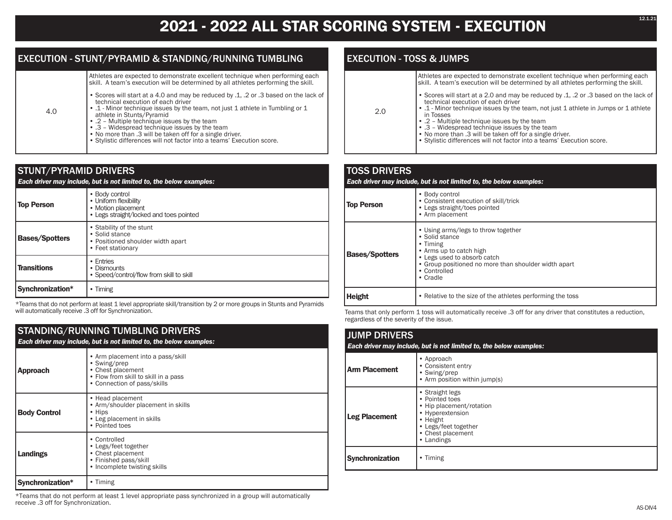## **2021 - 2022 ALL STAR SCORING SYSTEM - EXECUTION**

### EXECUTION - STUNT/PYRAMID & STANDING/RUNNING TUMBLING

Athletes are expected to demonstrate excellent technique when performing each skill. A team's execution will be determined by all athletes performing the skill.

- Scores will start at a 4.0 and may be reduced by .1, .2 or .3 based on the lack of technical execution of each driver
- .1 Minor technique issues by the team, not just 1 athlete in Tumbling or 1 athlete in Stunts/Pyramid
	- .2 Multiple technique issues by the team
- .3 Widespread technique issues by the team
- No more than .3 will be taken off for a single driver.
- Stylistic differences will not factor into a teams' Execution score.

| <b>STUNT/PYRAMID DRIVERS</b><br>Each driver may include, but is not limited to, the below examples:                           |                                                                                                          |  |
|-------------------------------------------------------------------------------------------------------------------------------|----------------------------------------------------------------------------------------------------------|--|
| <b>Top Person</b>                                                                                                             | • Body control<br>• Uniform flexibility<br>• Motion placement<br>• Legs straight/locked and toes pointed |  |
| • Stability of the stunt<br>• Solid stance<br><b>Bases/Spotters</b><br>• Positioned shoulder width apart<br>• Feet stationary |                                                                                                          |  |
| <b>Transitions</b>                                                                                                            | • Entries<br>• Dismounts<br>• Speed/control/flow from skill to skill                                     |  |
| Synchronization*                                                                                                              | $\cdot$ Timing                                                                                           |  |

\*Teams that do not perform at least 1 level appropriate skill/transition by 2 or more groups in Stunts and Pyramids will automatically receive .3 off for Synchronization.

## STANDING/RUNNING TUMBLING DRIVERS

4.0

| Each driver may include, but is not limited to, the below examples: |                                                                                                                                               |
|---------------------------------------------------------------------|-----------------------------------------------------------------------------------------------------------------------------------------------|
| <b>Approach</b>                                                     | • Arm placement into a pass/skill<br>• Swing/prep<br>• Chest placement<br>• Flow from skill to skill in a pass<br>• Connection of pass/skills |
| <b>Body Control</b>                                                 | • Head placement<br>• Arm/shoulder placement in skills<br>• Hips<br>• Leg placement in skills<br>• Pointed toes                               |
| Landings                                                            | • Controlled<br>• Legs/feet together<br>• Chest placement<br>• Finished pass/skill<br>• Incomplete twisting skills                            |
| Synchronization*                                                    | $\cdot$ Timing                                                                                                                                |

\*Teams that do not perform at least 1 level appropriate pass synchronized in a group will automatically receive .3 off for Synchronization.

## EXECUTION - TOSS & JUMPS

2.0

| Athletes are expected to demonstrate excellent technique when performing each<br>skill. A team's execution will be determined by all athletes performing the skill.                                                                          |
|----------------------------------------------------------------------------------------------------------------------------------------------------------------------------------------------------------------------------------------------|
| • Scores will start at a 2.0 and may be reduced by .1, .2 or .3 based on the lack of<br>technical execution of each driver<br>a set of the contract of the contract of the set of the set of the set of the set of the set of the set of the |

- .1 Minor technique issues by the team, not just 1 athlete in Jumps or 1 athlete in Tosses
	- .2 Multiple technique issues by the team • .3 – Widespread technique issues by the team
	- No more than .3 will be taken off for a single driver.
	-
	- Stylistic differences will not factor into a teams' Execution score.

#### TOSS DRIVERS *Each driver may include, but is not limited to, the below examples:* **Top Person** • Body control • Consistent execution of skill/trick • Legs straight/toes pointed • Arm placement **Bases/Spotters** • Using arms/legs to throw together • Solid stance • Timing • Arms up to catch high • Legs used to absorb catch • Group positioned no more than shoulder width apart • Controlled • Cradle **Height** • Relative to the size of the athletes performing the toss

Teams that only perform 1 toss will automatically receive .3 off for any driver that constitutes a reduction, regardless of the severity of the issue.

#### JUMP DRIVERS *Each driver may include, but is not limited to, the below examples:* **Arm Placement** • Approach • Consistent entry • Swing/prep • Arm position within jump(s) **Leg Placement** • Straight legs • Pointed toes • Hip placement/rotation • Hyperextension • Height • Legs/feet together • Chest placement • Landings **Synchronization** • Timing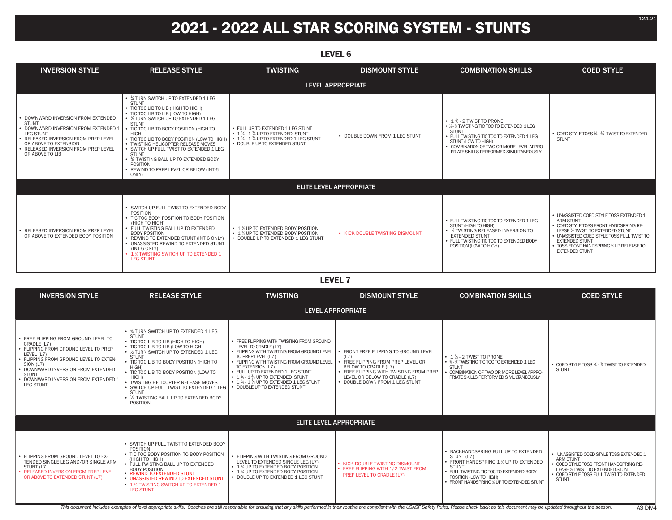# **2021 - 2022 ALL STAR SCORING SYSTEM - STUNTS**

| .                                                                                                                                                                                                                                  |                                                                                                                                                                                                                                                                                                                                                                                                                                                                                                               |                                                                                                                                                          |                                 |                                                                                                                                                                                                                                                                   |                                                                                                                                                                                                                                                                                       |
|------------------------------------------------------------------------------------------------------------------------------------------------------------------------------------------------------------------------------------|---------------------------------------------------------------------------------------------------------------------------------------------------------------------------------------------------------------------------------------------------------------------------------------------------------------------------------------------------------------------------------------------------------------------------------------------------------------------------------------------------------------|----------------------------------------------------------------------------------------------------------------------------------------------------------|---------------------------------|-------------------------------------------------------------------------------------------------------------------------------------------------------------------------------------------------------------------------------------------------------------------|---------------------------------------------------------------------------------------------------------------------------------------------------------------------------------------------------------------------------------------------------------------------------------------|
| <b>INVERSION STYLE</b>                                                                                                                                                                                                             | <b>RELEASE STYLE</b>                                                                                                                                                                                                                                                                                                                                                                                                                                                                                          | <b>TWISTING</b>                                                                                                                                          | <b>DISMOUNT STYLE</b>           | <b>COMBINATION SKILLS</b>                                                                                                                                                                                                                                         | <b>COED STYLE</b>                                                                                                                                                                                                                                                                     |
|                                                                                                                                                                                                                                    |                                                                                                                                                                                                                                                                                                                                                                                                                                                                                                               |                                                                                                                                                          | LEVEL APPROPRIATE               |                                                                                                                                                                                                                                                                   |                                                                                                                                                                                                                                                                                       |
| DOWNWARD INVERSION FROM EXTENDED<br><b>STUNT</b><br>DOWNWARD INVERSION FROM EXTENDED 1<br><b>LEG STUNT</b><br>RELEASED INVERSION FROM PREP LEVEL<br>OR ABOVE TO EXTENSION<br>RELEASED INVERSION FROM PREP LEVEL<br>OR ABOVE TO LIB | • % TURN SWITCH UP TO EXTENDED 1 LEG<br><b>STUNT</b><br>• TIC TOC LIB TO LIB (HIGH TO HIGH)<br>• TIC TOC LIB TO LIB (LOW TO HIGH)<br>• % TURN SWITCH UP TO EXTENDED 1 LEG<br><b>STUNT</b><br>• TIC TOC LIB TO BODY POSITION (HIGH TO<br>HIGH)<br>• TIC TOC LIB TO BODY POSITION (LOW TO HIGH)<br>• TWISTING HELICOPTER RELEASE MOVES<br>• SWITCH UP FULL TWIST TO EXTENDED 1 LEG<br><b>STUNT</b><br>• % TWISTING BALL UP TO EXTENDED BODY<br><b>POSITION</b><br>REWIND TO PREP LEVEL OR BELOW (INT 6<br>ONLY) | • FULL UP TO EXTENDED 1 LEG STUNT<br>• 1 1/4 - 1 3/4 UP TO EXTENDED STUNT<br>• 1 1/4 - 1 3/4 UP TO EXTENDED 1 LEG STUNT<br>• DOUBLE UP TO EXTENDED STUNT | • DOUBLE DOWN FROM 1 LEG STUNT  | $\cdot$ 1 $\frac{1}{2}$ - 2 TWIST TO PRONE<br>• ¼ - % TWISTING TIC TOC TO EXTENDED 1 LEG<br><b>STUNT</b><br>• FULL TWISTING TIC TOC TO EXTENDED 1 LEG<br>STUNT (LOW TO HIGH)<br>COMBINATION OF TWO OR MORE LEVEL APPRO-<br>PRIATE SKILLS PERFORMED SIMULTANEOUSLY | • COED STYLE TOSS 1/4 - 3/4 TWIST TO EXTENDED<br><b>STUNT</b>                                                                                                                                                                                                                         |
| <b>ELITE LEVEL APPROPRIATE</b>                                                                                                                                                                                                     |                                                                                                                                                                                                                                                                                                                                                                                                                                                                                                               |                                                                                                                                                          |                                 |                                                                                                                                                                                                                                                                   |                                                                                                                                                                                                                                                                                       |
| RELEASED INVERSION FROM PREP LEVEL<br>OR ABOVE TO EXTENDED BODY POSITION                                                                                                                                                           | SWITCH UP FULL TWIST TO EXTENDED BODY<br>POSITION<br>• TIC TOC BODY POSITION TO BODY POSITION<br>(HIGH TO HIGH)<br>• FULL TWISTING BALL UP TO EXTENDED<br><b>BODY POSITION</b><br>• REWIND TO EXTENDED STUNT (INT 6 ONLY)<br>• UNASSISTED REWIND TO EXTENDED STUNT<br>(INT 6 ONLY)<br>• 1 % TWISTING SWITCH UP TO EXTENDED 1<br><b>LEG STUNT</b>                                                                                                                                                              | • 1 % UP TO EXTENDED BODY POSITION<br>• 1 % UP TO EXTENDED BODY POSITION<br>• DOUBLE UP TO EXTENDED 1 LEG STUNT                                          | • KICK DOUBLE TWISTING DISMOUNT | • FULL TWISTING TIC TOC TO EXTENDED 1 LEG<br>STUNT (HIGH TO HIGH)<br>• 1/2 TWISTING RELEASED INVERSION TO<br><b>EXTENDED STUNT</b><br>• FULL TWISTING TIC TOC TO EXTENDED BODY<br>POSITION (LOW TO HIGH)                                                          | • UNASSISTED COED STYLE TOSS EXTENDED 1<br><b>ARM STUNT</b><br>• COED STYLE TOSS FRONT HANDSPRING RE-<br>LEASE 1/2 TWIST TO EXTENDED STUNT<br>. UNASSISTED COED STYLE TOSS FULL TWIST TO<br><b>EXTENDED STUNT</b><br>• TOSS FRONT HANDSPRING % UP RELEASE TO<br><b>EXTENDED STUNT</b> |

**LEVEL 7**

| <b>INVERSION STYLE</b>                                                                                                                                                                                                                                                           | <b>RELEASE STYLE</b>                                                                                                                                                                                                                                                                                                                                                                                                                                            | <b>TWISTING</b>                                                                                                                                                                                                                                                                                                                                                      | <b>DISMOUNT STYLE</b>                                                                                                                                                                                                 | <b>COMBINATION SKILLS</b>                                                                                                                                                                                                    | <b>COED STYLE</b>                                                                                                                                                                                  |
|----------------------------------------------------------------------------------------------------------------------------------------------------------------------------------------------------------------------------------------------------------------------------------|-----------------------------------------------------------------------------------------------------------------------------------------------------------------------------------------------------------------------------------------------------------------------------------------------------------------------------------------------------------------------------------------------------------------------------------------------------------------|----------------------------------------------------------------------------------------------------------------------------------------------------------------------------------------------------------------------------------------------------------------------------------------------------------------------------------------------------------------------|-----------------------------------------------------------------------------------------------------------------------------------------------------------------------------------------------------------------------|------------------------------------------------------------------------------------------------------------------------------------------------------------------------------------------------------------------------------|----------------------------------------------------------------------------------------------------------------------------------------------------------------------------------------------------|
|                                                                                                                                                                                                                                                                                  | <b>LEVEL APPROPRIATE</b>                                                                                                                                                                                                                                                                                                                                                                                                                                        |                                                                                                                                                                                                                                                                                                                                                                      |                                                                                                                                                                                                                       |                                                                                                                                                                                                                              |                                                                                                                                                                                                    |
| · FREE FLIPPING FROM GROUND LEVEL TO<br>CRADLE (L7)<br>• FLIPPING FROM GROUND LEVEL TO PREP<br>LEVEL (L7)<br>· FLIPPING FROM GROUND LEVEL TO EXTEN-<br>SION (L7)<br>· DOWNWARD INVERSION FROM EXTENDED<br><b>STUNT</b><br>DOWNWARD INVERSION FROM EXTENDED 1<br><b>LEG STUNT</b> | • % TURN SWITCH UP TO EXTENDED 1 LEG<br><b>STUNT</b><br>• TIC TOC LIB TO LIB (HIGH TO HIGH)<br>• TIC TOC LIB TO LIB (LOW TO HIGH)<br>• % TURN SWITCH UP TO EXTENDED 1 LEG<br><b>STUNT</b><br>• TIC TOC LIB TO BODY POSITION (HIGH TO<br>HIGH)<br>• TIC TOC LIB TO BODY POSITION (LOW TO<br>HIGH)<br>TWISTING HELICOPTER RELEASE MOVES<br>• SWITCH UP FULL TWIST TO EXTENDED 1 LEG<br><b>STUNT</b><br>• 1/2 TWISTING BALL UP TO EXTENDED BODY<br><b>POSITION</b> | • FREE FLIPPING WITH TWISTING FROM GROUND<br>LEVEL TO CRADLE (L7)<br>• FLIPPING WITH TWISTING FROM GROUND LEVEL<br>TO PREP LEVEL (L7)<br>• FLIPPING WITH TWISTING FROM GROUND LEVEL<br>TO EXTENSION (L7)<br>• FULL UP TO EXTENDED 1 LEG STUNT<br>• 1 1/4 - 1 3/4 UP TO EXTENDED STUNT<br>• 1 1/4 - 1 3/4 UP TO EXTENDED 1 LEG STUNT<br>• DOUBLE UP TO EXTENDED STUNT | FRONT FREE FLIPPING TO GROUND LEVEL<br>(L7)<br>FREE FLIPPING FROM PREP LEVEL OR<br>BELOW TO CRADLE (L7)<br>• FREE FLIPPING WITH TWISTING FROM PREP<br>LEVEL OR BELOW TO CRADLE (L7)<br>• DOUBLE DOWN FROM 1 LEG STUNT | $\cdot$ 1 % - 2 TWIST TO PRONE<br>• 14 - 14 TWISTING TIC TOC TO EXTENDED 1 LEG<br><b>STUNT</b><br>. COMBINATION OF TWO OR MORE LEVEL APPRO-<br>PRIATE SKILLS PERFORMED SIMULTANEOUSLY                                        | • COED STYLE TOSS 1/4 - 3/4 TWIST TO EXTENDED<br><b>STUNT</b>                                                                                                                                      |
| <b>ELITE LEVEL APPROPRIATE</b>                                                                                                                                                                                                                                                   |                                                                                                                                                                                                                                                                                                                                                                                                                                                                 |                                                                                                                                                                                                                                                                                                                                                                      |                                                                                                                                                                                                                       |                                                                                                                                                                                                                              |                                                                                                                                                                                                    |
| · FLIPPING FROM GROUND LEVEL TO EX-<br>TENDED SINGLE LEG AND/OR SINGLE ARM<br>STUNT (L7)<br>• RELEASED INVERSION FROM PREP LEVEL<br>OR ABOVE TO EXTENDED STUNT (L7)                                                                                                              | • SWITCH UP FULL TWIST TO EXTENDED BODY<br>POSITION<br>• TIC TOC BODY POSITION TO BODY POSITION<br>(HIGH TO HIGH)<br>FULL TWISTING BALL UP TO EXTENDED<br><b>BODY POSITION</b><br>• REWIND TO EXTENDED STUNT<br>• UNASSISTED REWIND TO EXTENDED STUNT<br>• 1 % TWISTING SWITCH UP TO EXTENDED 1<br><b>LEG STUNT</b>                                                                                                                                             | • FLIPPING WITH TWISTING FROM GROUND<br>LEVEL TO EXTENDED SINGLE LEG (L7)<br>• 1 % UP TO EXTENDED BODY POSITION<br>• 1 % UP TO EXTENDED BODY POSITION<br>• DOUBLE UP TO EXTENDED 1 LEG STUNT                                                                                                                                                                         | • KICK DOUBLE TWISTING DISMOUNT<br>• FREE FLIPPING WITH 1/2 TWIST FROM<br><b>PREP LEVEL TO CRADLE (L7)</b>                                                                                                            | BACKHANDSPRING FULL UP TO EXTENDED<br>STUNT (L7)<br>• FRONT HANDSPRING 1 % UP TO EXTENDED<br><b>STUNT</b><br>• FULL TWISTING TIC TOC TO EXTENDED BODY<br>POSITION (LOW TO HIGH)<br>• FRONT HANDSPRING % UP TO EXTENDED STUNT | UNASSISTED COED STYLE TOSS EXTENDED 1<br><b>ARM STUNT</b><br>• COED STYLE TOSS FRONT HANDSPRING RE-<br>LEASE % TWIST TO EXTENDED STUNT<br>• COED STYLE TOSS FULL TWIST TO EXTENDED<br><b>STUNT</b> |

This document includes examples of level appropriate skills. Coaches are still responsible for ensuring that any skills performed in their routine are compliant with the USASF Safety Rules. Please check back as this docume

**LEVEL 6**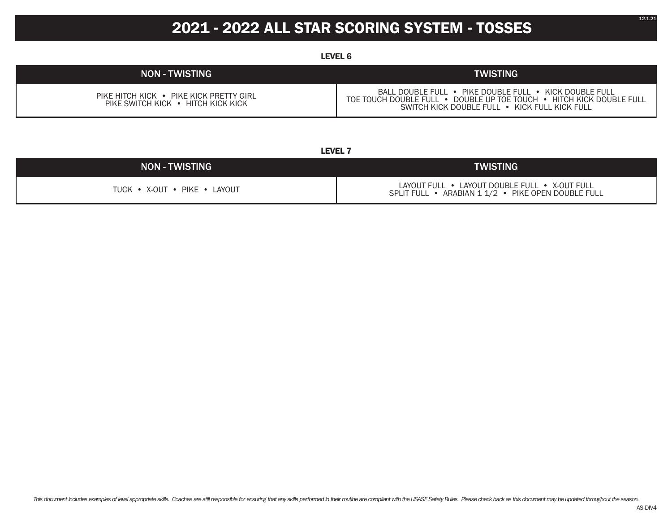## **2021 - 2022 ALL STAR SCORING SYSTEM - TOSSES**

**LEVEL 6**

| <b>NON - TWISTING</b>                                                         | <b>TWISTING</b>                                                                                                                                                                 |
|-------------------------------------------------------------------------------|---------------------------------------------------------------------------------------------------------------------------------------------------------------------------------|
| PIKE HITCH KICK • PIKE KICK PRETTY GIRL<br>PIKE SWITCH KICK • HITCH KICK KICK | BALL DOUBLE FULL • PIKE DOUBLE FULL • KICK DOUBLE FULL<br>TOE TOUCH DOUBLE FULL • DOUBLE UP TOE TOUCH • HITCH KICK DOUBLE FULL<br>SWITCH KICK DOUBLE FULL • KICK FULL KICK FULL |

**LEVEL 7**

| <b>NON - TWISTING</b>        | <b>ITWISTING</b>                                                                                    |  |
|------------------------------|-----------------------------------------------------------------------------------------------------|--|
| TUCK • X-OUT • PIKE • LAYOUT | LAYOUT FULL • LAYOUT DOUBLE FULL • X-OUT FULL<br>SPLIT FULL • ARABIAN 1 1/2 • PIKE OPEN DOUBLE FULL |  |

12.1.21